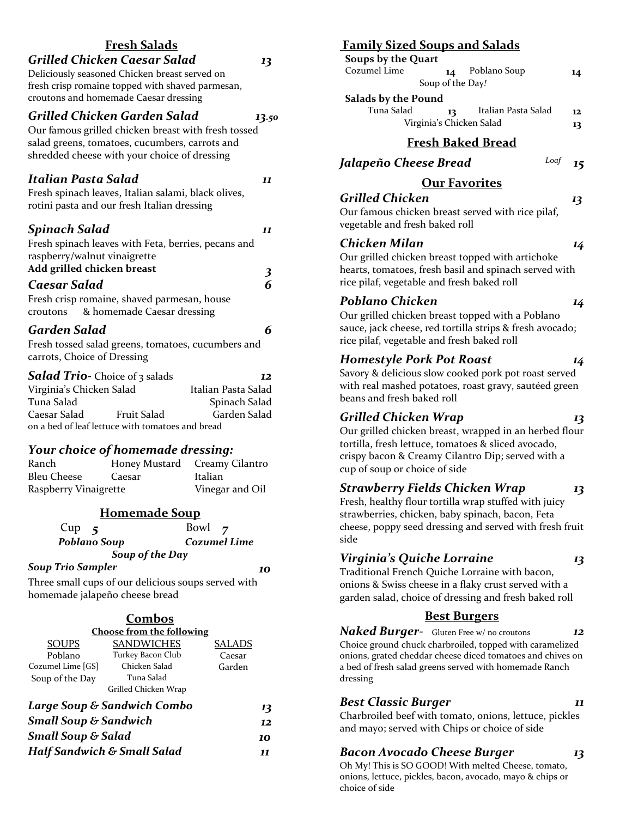#### **Fresh Salads** *Grilled Chicken Caesar Salad 13* Deliciously seasoned Chicken breast served on fresh crisp romaine topped with shaved parmesan, croutons and homemade Caesar dressing *Grilled Chicken Garden Salad 13.50* Our famous grilled chicken breast with fresh tossed salad greens, tomatoes, cucumbers, carrots and shredded cheese with your choice of dressing *Italian Pasta Salad 11* Fresh spinach leaves, Italian salami, black olives, rotini pasta and our fresh Italian dressing *Spinach Salad 11* Fresh spinach leaves with Feta, berries, pecans and raspberry/walnut vinaigrette **Add grilled chicken breast** *3 Caesar Salad 6* Fresh crisp romaine, shaved parmesan, house croutons & homemade Caesar dressing *Garden Salad 6* Fresh tossed salad greens, tomatoes, cucumbers and carrots, Choice of Dressing *Salad Trio-* Choice of 3 salads *12*

| <b>DUTUAL 11 ID</b> CHOICE OF 3 Salads           |                    |                     |  |
|--------------------------------------------------|--------------------|---------------------|--|
| Virginia's Chicken Salad                         |                    | Italian Pasta Salad |  |
| Tuna Salad                                       |                    | Spinach Salad       |  |
| Caesar Salad                                     | <b>Fruit Salad</b> | Garden Salad        |  |
| on a bed of leaf lettuce with tomatoes and bread |                    |                     |  |

# *Your choice of homemade dressing:*

| Ranch                 |        | Honey Mustard Creamy Cilantro |
|-----------------------|--------|-------------------------------|
| Bleu Cheese           | Caesar | Italian                       |
| Raspberry Vinaigrette |        | Vinegar and Oil               |

| <b>Homemade Soup</b> |                     |  |  |
|----------------------|---------------------|--|--|
| Cup<br>$\sim$ 5      | Bowl $\overline{z}$ |  |  |
| Poblano Soup         | Cozumel Lime        |  |  |
| Soup of the Day      |                     |  |  |

#### *Soup Trio Sampler 10*

Three small cups of our delicious soups served with homemade jalapeño cheese bread

| Combos                                 |                                  |        |  |  |
|----------------------------------------|----------------------------------|--------|--|--|
|                                        | <b>Choose from the following</b> |        |  |  |
| <b>SOUPS</b>                           | <b>SANDWICHES</b>                | SALADS |  |  |
| Poblano                                | Turkey Bacon Club                | Caesar |  |  |
| Cozumel Lime [GS]                      | Chicken Salad                    | Garden |  |  |
| Soup of the Day                        | Tuna Salad                       |        |  |  |
| Grilled Chicken Wrap                   |                                  |        |  |  |
| Large Soup & Sandwich Combo<br>13      |                                  |        |  |  |
| <b>Small Soup &amp; Sandwich</b>       |                                  |        |  |  |
| <b>Small Soup &amp; Salad</b>          |                                  |        |  |  |
| <b>Half Sandwich &amp; Small Salad</b> |                                  |        |  |  |
|                                        |                                  |        |  |  |

# **Family Sized Soups and Salads**

#### **Soups by the Quart**

| Cozumel Lime | Poblano Soup<br>14 | 14 |
|--------------|--------------------|----|
|              | Soup of the Day!   |    |
|              |                    |    |

#### **Salads by the Pound**

| Tuna Salad | 13                       | Italian Pasta Salad | 12 |
|------------|--------------------------|---------------------|----|
|            | Virginia's Chicken Salad |                     | 13 |

# **Fresh Baked Bread**

*Jalapeño Cheese Bread Loaf 15*

# **Our Favorites**

*Grilled Chicken 13* Our famous chicken breast served with rice pilaf, vegetable and fresh baked roll

### *Chicken Milan 14*

Our grilled chicken breast topped with artichoke hearts, tomatoes, fresh basil and spinach served with rice pilaf, vegetable and fresh baked roll

# *Poblano Chicken 14*

Our grilled chicken breast topped with a Poblano sauce, jack cheese, red tortilla strips & fresh avocado; rice pilaf, vegetable and fresh baked roll

### *Homestyle Pork Pot Roast 14*

Savory & delicious slow cooked pork pot roast served with real mashed potatoes, roast gravy, sautéed green beans and fresh baked roll

### *Grilled Chicken Wrap 13*

Our grilled chicken breast, wrapped in an herbed flour tortilla, fresh lettuce, tomatoes & sliced avocado, crispy bacon & Creamy Cilantro Dip; served with a cup of soup or choice of side

### *Strawberry Fields Chicken Wrap 13*

Fresh, healthy flour tortilla wrap stuffed with juicy strawberries, chicken, baby spinach, bacon, Feta cheese, poppy seed dressing and served with fresh fruit side

# *Virginia's Quiche Lorraine 13*

Traditional French Quiche Lorraine with bacon, onions & Swiss cheese in a flaky crust served with a garden salad, choice of dressing and fresh baked roll

### **Best Burgers**

*Naked Burger-* Gluten Free w/ no croutons *12* Choice ground chuck charbroiled, topped with caramelized onions, grated cheddar cheese diced tomatoes and chives on a bed of fresh salad greens served with homemade Ranch dressing

### *Best Classic Burger 11*

Charbroiled beef with tomato, onions, lettuce, pickles and mayo; served with Chips or choice of side

# *Bacon Avocado Cheese Burger 13*

Oh My! This is SO GOOD! With melted Cheese, tomato, onions, lettuce, pickles, bacon, avocado, mayo & chips or choice of side